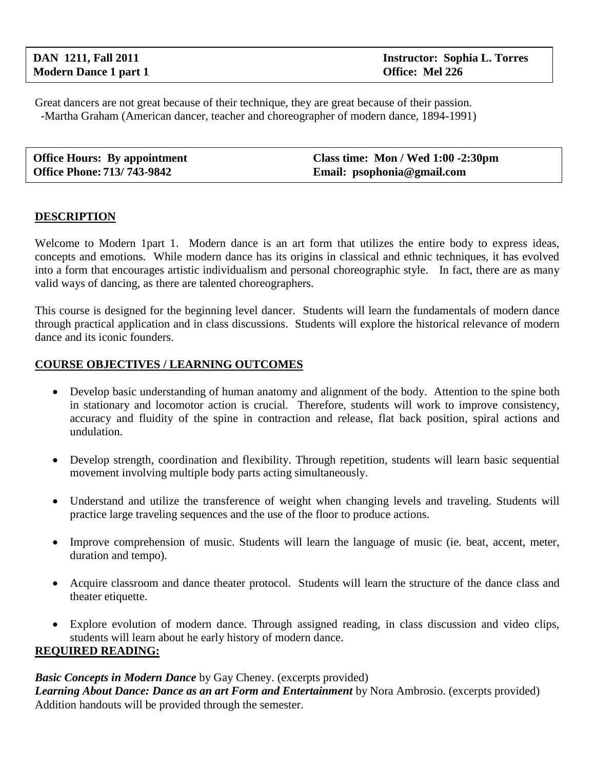Great dancers are not great because of their technique, they are great because of their passion. -Martha Graham (American dancer, teacher and choreographer of modern dance, 1894-1991)

| <b>Office Hours: By appointment</b> | Class time: Mon / Wed 1:00 -2:30pm |
|-------------------------------------|------------------------------------|
| <b>Office Phone: 713/743-9842</b>   | Email: psophonia@gmail.com         |

### **DESCRIPTION**

Welcome to Modern 1part 1. Modern dance is an art form that utilizes the entire body to express ideas, concepts and emotions. While modern dance has its origins in classical and ethnic techniques, it has evolved into a form that encourages artistic individualism and personal choreographic style. In fact, there are as many valid ways of dancing, as there are talented choreographers.

This course is designed for the beginning level dancer. Students will learn the fundamentals of modern dance through practical application and in class discussions. Students will explore the historical relevance of modern dance and its iconic founders.

### **COURSE OBJECTIVES / LEARNING OUTCOMES**

- Develop basic understanding of human anatomy and alignment of the body. Attention to the spine both in stationary and locomotor action is crucial. Therefore, students will work to improve consistency, accuracy and fluidity of the spine in contraction and release, flat back position, spiral actions and undulation.
- Develop strength, coordination and flexibility. Through repetition, students will learn basic sequential movement involving multiple body parts acting simultaneously.
- Understand and utilize the transference of weight when changing levels and traveling. Students will practice large traveling sequences and the use of the floor to produce actions.
- Improve comprehension of music. Students will learn the language of music (ie. beat, accent, meter, duration and tempo).
- Acquire classroom and dance theater protocol. Students will learn the structure of the dance class and theater etiquette.
- Explore evolution of modern dance. Through assigned reading, in class discussion and video clips, students will learn about he early history of modern dance. **REQUIRED READING:**

*Basic Concepts in Modern Dance* by Gay Cheney. (excerpts provided) *Learning About Dance: Dance as an art Form and Entertainment* by Nora Ambrosio. (excerpts provided) Addition handouts will be provided through the semester.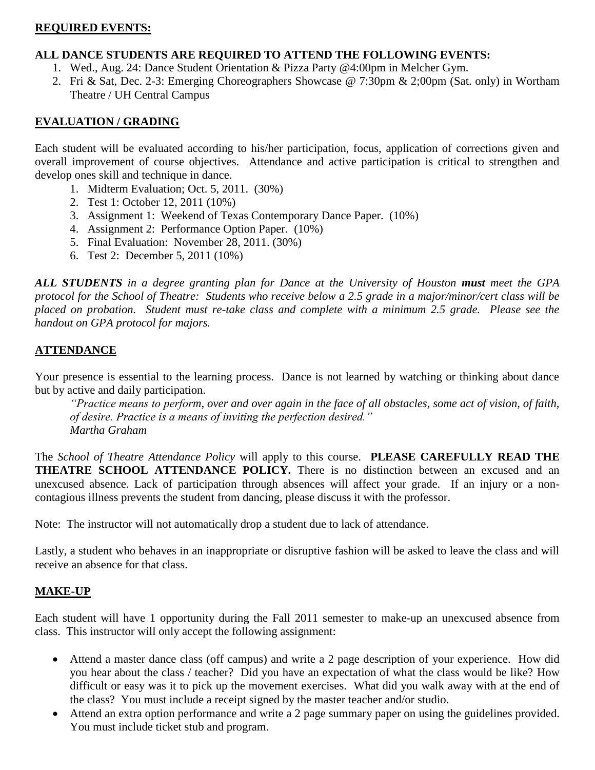## **REQUIRED EVENTS:**

#### **ALL DANCE STUDENTS ARE REQUIRED TO ATTEND THE FOLLOWING EVENTS:**

- 1. Wed., Aug. 24: Dance Student Orientation & Pizza Party @4:00pm in Melcher Gym.
- 2. Fri & Sat, Dec. 2-3: Emerging Choreographers Showcase @ 7:30pm & 2;00pm (Sat. only) in Wortham Theatre / UH Central Campus

# **EVALUATION / GRADING**

Each student will be evaluated according to his/her participation, focus, application of corrections given and overall improvement of course objectives. Attendance and active participation is critical to strengthen and develop ones skill and technique in dance.

- 1. Midterm Evaluation; Oct. 5, 2011. (30%)
- 2. Test 1: October 12, 2011 (10%)
- 3. Assignment 1: Weekend of Texas Contemporary Dance Paper. (10%)
- 4. Assignment 2: Performance Option Paper. (10%)
- 5. Final Evaluation: November 28, 2011. (30%)
- 6. Test 2: December 5, 2011 (10%)

*ALL STUDENTS in a degree granting plan for Dance at the University of Houston must meet the GPA protocol for the School of Theatre: Students who receive below a 2.5 grade in a major/minor/cert class will be placed on probation. Student must re-take class and complete with a minimum 2.5 grade. Please see the handout on GPA protocol for majors.*

# **ATTENDANCE**

Your presence is essential to the learning process. Dance is not learned by watching or thinking about dance but by active and daily participation.

*"Practice means to perform, over and over again in the face of all obstacles, some act of vision, of faith, of desire. Practice is a means of inviting the perfection desired." Martha Graham*

The *School of Theatre Attendance Policy* will apply to this course. **PLEASE CAREFULLY READ THE THEATRE SCHOOL ATTENDANCE POLICY.** There is no distinction between an excused and an unexcused absence. Lack of participation through absences will affect your grade. If an injury or a noncontagious illness prevents the student from dancing, please discuss it with the professor.

Note: The instructor will not automatically drop a student due to lack of attendance.

Lastly, a student who behaves in an inappropriate or disruptive fashion will be asked to leave the class and will receive an absence for that class.

# **MAKE-UP**

Each student will have 1 opportunity during the Fall 2011 semester to make-up an unexcused absence from class. This instructor will only accept the following assignment:

- Attend a master dance class (off campus) and write a 2 page description of your experience. How did you hear about the class / teacher? Did you have an expectation of what the class would be like? How difficult or easy was it to pick up the movement exercises. What did you walk away with at the end of the class? You must include a receipt signed by the master teacher and/or studio.
- Attend an extra option performance and write a 2 page summary paper on using the guidelines provided. You must include ticket stub and program.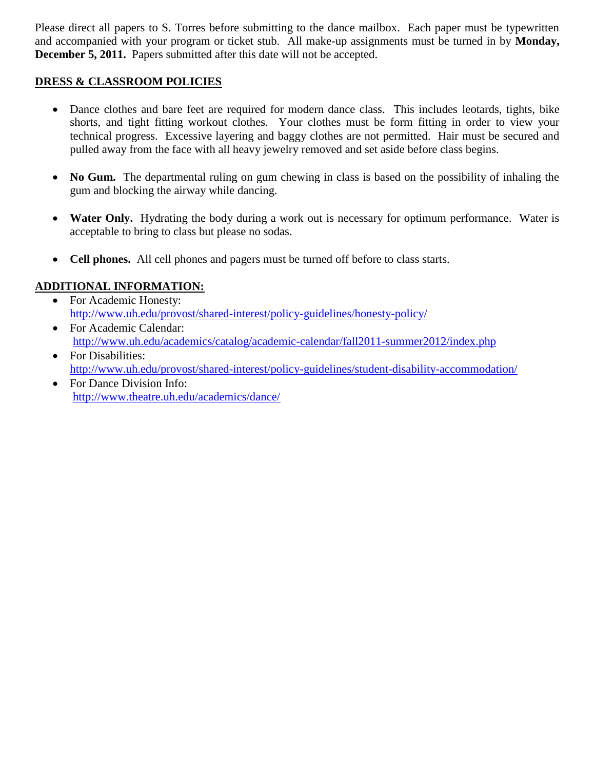Please direct all papers to S. Torres before submitting to the dance mailbox. Each paper must be typewritten and accompanied with your program or ticket stub. All make-up assignments must be turned in by **Monday, December 5, 2011.** Papers submitted after this date will not be accepted.

# **DRESS & CLASSROOM POLICIES**

- Dance clothes and bare feet are required for modern dance class. This includes leotards, tights, bike shorts, and tight fitting workout clothes. Your clothes must be form fitting in order to view your technical progress. Excessive layering and baggy clothes are not permitted. Hair must be secured and pulled away from the face with all heavy jewelry removed and set aside before class begins.
- No Gum. The departmental ruling on gum chewing in class is based on the possibility of inhaling the gum and blocking the airway while dancing.
- Water Only. Hydrating the body during a work out is necessary for optimum performance. Water is acceptable to bring to class but please no sodas.
- **Cell phones.** All cell phones and pagers must be turned off before to class starts.

# **ADDITIONAL INFORMATION:**

- For Academic Honesty: <http://www.uh.edu/provost/shared-interest/policy-guidelines/honesty-policy/>
- For Academic Calendar: <http://www.uh.edu/academics/catalog/academic-calendar/fall2011-summer2012/index.php>
- For Disabilities: <http://www.uh.edu/provost/shared-interest/policy-guidelines/student-disability-accommodation/>
- For Dance Division Info: <http://www.theatre.uh.edu/academics/dance/>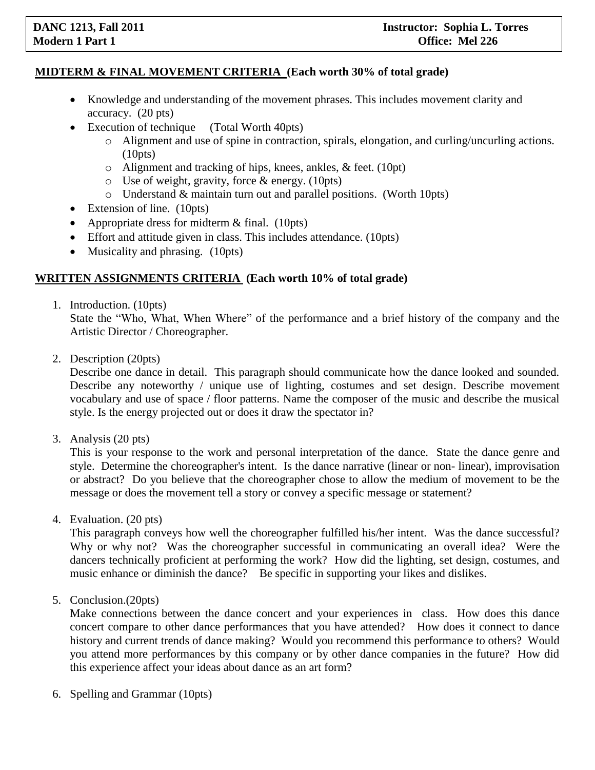# **MIDTERM & FINAL MOVEMENT CRITERIA (Each worth 30% of total grade)**

- Knowledge and understanding of the movement phrases. This includes movement clarity and accuracy. (20 pts)
- Execution of technique (Total Worth 40pts)
	- o Alignment and use of spine in contraction, spirals, elongation, and curling/uncurling actions. (10pts)
	- o Alignment and tracking of hips, knees, ankles, & feet. (10pt)
	- o Use of weight, gravity, force & energy. (10pts)
	- o Understand & maintain turn out and parallel positions. (Worth 10pts)
- Extension of line. (10pts)
- Appropriate dress for midterm  $&$  final. (10pts)
- Effort and attitude given in class. This includes attendance. (10pts)
- Musicality and phrasing. (10pts)

#### **WRITTEN ASSIGNMENTS CRITERIA (Each worth 10% of total grade)**

1. Introduction. (10pts)

State the "Who, What, When Where" of the performance and a brief history of the company and the Artistic Director / Choreographer.

2. Description (20pts)

Describe one dance in detail. This paragraph should communicate how the dance looked and sounded. Describe any noteworthy / unique use of lighting, costumes and set design. Describe movement vocabulary and use of space / floor patterns. Name the composer of the music and describe the musical style. Is the energy projected out or does it draw the spectator in?

3. Analysis (20 pts)

This is your response to the work and personal interpretation of the dance. State the dance genre and style. Determine the choreographer's intent. Is the dance narrative (linear or non- linear), improvisation or abstract? Do you believe that the choreographer chose to allow the medium of movement to be the message or does the movement tell a story or convey a specific message or statement?

4. Evaluation. (20 pts)

This paragraph conveys how well the choreographer fulfilled his/her intent. Was the dance successful? Why or why not? Was the choreographer successful in communicating an overall idea? Were the dancers technically proficient at performing the work? How did the lighting, set design, costumes, and music enhance or diminish the dance? Be specific in supporting your likes and dislikes.

5. Conclusion.(20pts)

Make connections between the dance concert and your experiences in class. How does this dance concert compare to other dance performances that you have attended? How does it connect to dance history and current trends of dance making? Would you recommend this performance to others? Would you attend more performances by this company or by other dance companies in the future? How did this experience affect your ideas about dance as an art form?

6. Spelling and Grammar (10pts)